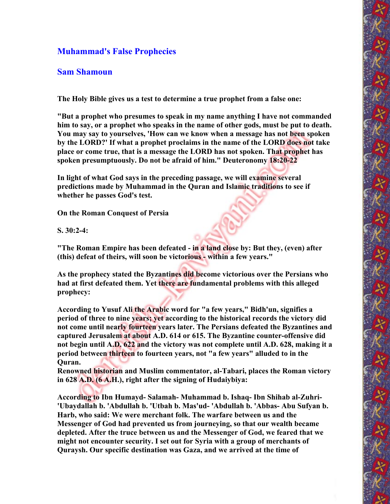# **Muhammad's False Prophecies**

## **Sam Shamoun**

**The Holy Bible gives us a test to determine a true prophet from a false one:** 

**"But a prophet who presumes to speak in my name anything I have not commanded him to say, or a prophet who speaks in the name of other gods, must be put to death. You may say to yourselves, 'How can we know when a message has not been spoken by the LORD?' If what a prophet proclaims in the name of the LORD does not take place or come true, that is a message the LORD has not spoken. That prophet has spoken presumptuously. Do not be afraid of him." Deuteronomy 18:20-22** 

**In light of what God says in the preceding passage, we will examine several predictions made by Muhammad in the Quran and Islamic traditions to see if whether he passes God's test.** 

**On the Roman Conquest of Persia** 

**S. 30:2-4:** 

**"The Roman Empire has been defeated - in a land close by: But they, (even) after (this) defeat of theirs, will soon be victorious - within a few years."** 

**As the prophecy stated the Byzantines did become victorious over the Persians who had at first defeated them. Yet there are fundamental problems with this alleged prophecy:** 

**According to Yusuf Ali the Arabic word for "a few years," Bidh'un, signifies a period of three to nine years; yet according to the historical records the victory did not come until nearly fourteen years later. The Persians defeated the Byzantines and captured Jerusalem at about A.D. 614 or 615. The Byzantine counter-offensive did not begin until A.D. 622 and the victory was not complete until A.D. 628, making it a period between thirteen to fourteen years, not "a few years" alluded to in the Quran.** 

**Renowned historian and Muslim commentator, al-Tabari, places the Roman victory in 628 A.D. (6 A.H.), right after the signing of Hudaiybiya:** 

**According to Ibn Humayd- Salamah- Muhammad b. Ishaq- Ibn Shihab al-Zuhri- 'Ubaydallah b. 'Abdullah b. 'Utbah b. Mas'ud- 'Abdullah b. 'Abbas- Abu Sufyan b. Harb, who said: We were merchant folk. The warfare between us and the Messenger of God had prevented us from journeying, so that our wealth became depleted. After the truce between us and the Messenger of God, we feared that we might not encounter security. I set out for Syria with a group of merchants of Quraysh. Our specific destination was Gaza, and we arrived at the time of**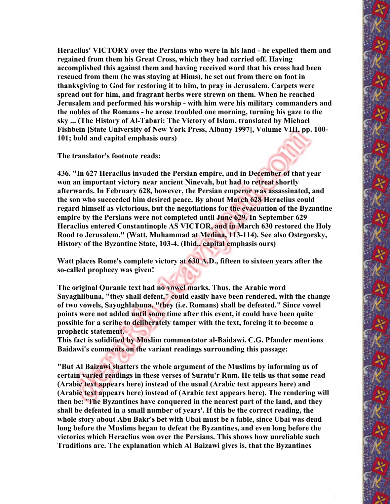**Heraclius' VICTORY over the Persians who were in his land - he expelled them and regained from them his Great Cross, which they had carried off. Having accomplished this against them and having received word that his cross had been rescued from them (he was staying at Hims), he set out from there on foot in thanksgiving to God for restoring it to him, to pray in Jerusalem. Carpets were spread out for him, and fragrant herbs were strewn on them. When he reached Jerusalem and performed his worship - with him were his military commanders and the nobles of the Romans - he arose troubled one morning, turning his gaze to the sky ... (The History of Al-Tabari: The Victory of Islam, translated by Michael Fishbein [State University of New York Press, Albany 1997], Volume VIII, pp. 100- 101; bold and capital emphasis ours)** 

**The translator's footnote reads:** 

**436. "In 627 Heraclius invaded the Persian empire, and in December of that year won an important victory near ancient Ninevah, but had to retreat shortly afterwards. In February 628, however, the Persian emperor was assassinated, and the son who succeeded him desired peace. By about March 628 Heraclius could regard himself as victorious, but the negotiations for the evacuation of the Byzantine empire by the Persians were not completed until June 629. In September 629 Heraclius entered Constantinople AS VICTOR, and in March 630 restored the Holy Rood to Jerusalem." (Watt, Muhammad at Medina, 113-114). See also Ostrgorsky, History of the Byzantine State, 103-4. (Ibid., capital emphasis ours)** 

**Watt places Rome's complete victory at 630 A.D., fifteen to sixteen years after the so-called prophecy was given!** 

**The original Quranic text had no vowel marks. Thus, the Arabic word Sayaghlibuna, "they shall defeat," could easily have been rendered, with the change of two vowels, Sayughlabuna, "they (i.e. Romans) shall be defeated." Since vowel points were not added until some time after this event, it could have been quite possible for a scribe to deliberately tamper with the text, forcing it to become a prophetic statement.** 

**This fact is solidified by Muslim commentator al-Baidawi. C.G. Pfander mentions Baidawi's comments on the variant readings surrounding this passage:** 

**"But Al Baizawi shatters the whole argument of the Muslims by informing us of certain varied readings in these verses of Suratu'r Rum. He tells us that some read (Arabic text appears here) instead of the usual (Arabic text appears here) and (Arabic text appears here) instead of (Arabic text appears here). The rendering will then be: 'The Byzantines have conquered in the nearest part of the land, and they shall be defeated in a small number of years'. If this be the correct reading, the whole story about Abu Bakr's bet with Ubai must be a fable, since Ubai was dead long before the Muslims began to defeat the Byzantines, and even long before the victories which Heraclius won over the Persians. This shows how unreliable such Traditions are. The explanation which Al Baizawi gives is, that the Byzantines**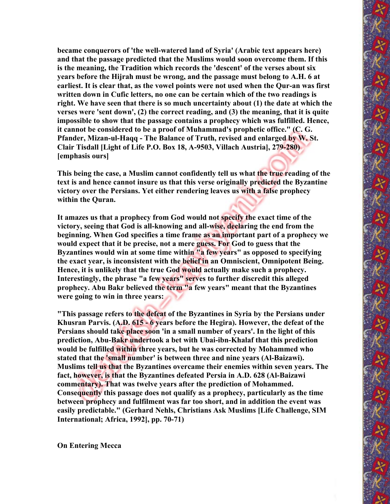**became conquerors of 'the well-watered land of Syria' (Arabic text appears here) and that the passage predicted that the Muslims would soon overcome them. If this is the meaning, the Tradition which records the 'descent' of the verses about six years before the Hijrah must be wrong, and the passage must belong to A.H. 6 at earliest. It is clear that, as the vowel points were not used when the Qur-an was first written down in Cufic letters, no one can be certain which of the two readings is right. We have seen that there is so much uncertainty about (1) the date at which the verses were 'sent down', (2) the correct reading, and (3) the meaning, that it is quite impossible to show that the passage contains a prophecy which was fulfilled. Hence, it cannot be considered to be a proof of Muhammad's prophetic office." (C. G. Pfander, Mizan-ul-Haqq - The Balance of Truth, revised and enlarged by W. St. Clair Tisdall [Light of Life P.O. Box 18, A-9503, Villach Austria], 279-280) [emphasis ours]** 

**This being the case, a Muslim cannot confidently tell us what the true reading of the text is and hence cannot insure us that this verse originally predicted the Byzantine victory over the Persians. Yet either rendering leaves us with a false prophecy within the Quran.** 

**It amazes us that a prophecy from God would not specify the exact time of the victory, seeing that God is all-knowing and all-wise, declaring the end from the beginning. When God specifies a time frame as an important part of a prophecy we would expect that it be precise, not a mere guess. For God to guess that the Byzantines would win at some time within "a few years" as opposed to specifying the exact year, is inconsistent with the belief in an Omniscient, Omnipotent Being. Hence, it is unlikely that the true God would actually make such a prophecy. Interestingly, the phrase "a few years" serves to further discredit this alleged prophecy. Abu Bakr believed the term "a few years" meant that the Byzantines were going to win in three years:** 

**"This passage refers to the defeat of the Byzantines in Syria by the Persians under Khusran Parvis. (A.D. 615 - 6 years before the Hegira). However, the defeat of the Persians should take place soon 'in a small number of years'. In the light of this prediction, Abu-Bakr undertook a bet with Ubai-ibn-Khalaf that this prediction would be fulfilled within three years, but he was corrected by Mohammed who stated that the 'small number' is between three and nine years (Al-Baizawi). Muslims tell us that the Byzantines overcame their enemies within seven years. The fact, however, is that the Byzantines defeated Persia in A.D. 628 (Al-Baizawi commentary). That was twelve years after the prediction of Mohammed. Consequently this passage does not qualify as a prophecy, particularly as the time between prophecy and fulfilment was far too short, and in addition the event was easily predictable." (Gerhard Nehls, Christians Ask Muslims [Life Challenge, SIM International; Africa, 1992], pp. 70-71)** 

**On Entering Mecca**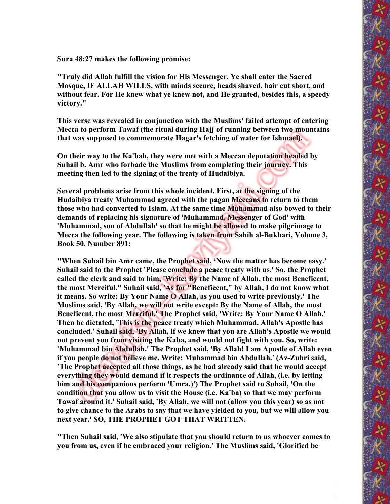**Sura 48:27 makes the following promise:** 

**"Truly did Allah fulfill the vision for His Messenger. Ye shall enter the Sacred Mosque, IF ALLAH WILLS, with minds secure, heads shaved, hair cut short, and without fear. For He knew what ye knew not, and He granted, besides this, a speedy victory."** 

**This verse was revealed in conjunction with the Muslims' failed attempt of entering Mecca to perform Tawaf (the ritual during Hajj of running between two mountains that was supposed to commemorate Hagar's fetching of water for Ishmael).** 

**On their way to the Ka'bah, they were met with a Meccan deputation headed by Suhail b. Amr who forbade the Muslims from completing their journey. This meeting then led to the signing of the treaty of Hudaibiya.** 

**Several problems arise from this whole incident. First, at the signing of the Hudaibiya treaty Muhammad agreed with the pagan Meccans to return to them those who had converted to Islam. At the same time Muhammad also bowed to their demands of replacing his signature of 'Muhammad, Messenger of God' with 'Muhammad, son of Abdullah' so that he might be allowed to make pilgrimage to Mecca the following year. The following is taken from Sahih al-Bukhari, Volume 3, Book 50, Number 891:** 

**"When Suhail bin Amr came, the Prophet said, 'Now the matter has become easy.' Suhail said to the Prophet 'Please conclude a peace treaty with us.' So, the Prophet called the clerk and said to him, 'Write: By the Name of Allah, the most Beneficent, the most Merciful." Suhail said, 'As for "Beneficent," by Allah, I do not know what it means. So write: By Your Name O Allah, as you used to write previously.' The Muslims said, 'By Allah, we will not write except: By the Name of Allah, the most Beneficent, the most Merciful.' The Prophet said, 'Write: By Your Name O Allah.' Then he dictated, 'This is the peace treaty which Muhammad, Allah's Apostle has concluded.' Suhail said, 'By Allah, if we knew that you are Allah's Apostle we would not prevent you from visiting the Kaba, and would not fight with you. So, write: 'Muhammad bin Abdullah.' The Prophet said, 'By Allah! I am Apostle of Allah even if you people do not believe me. Write: Muhammad bin Abdullah.' (Az-Zuhri said, 'The Prophet accepted all those things, as he had already said that he would accept everything they would demand if it respects the ordinance of Allah, (i.e. by letting him and his companions perform 'Umra.)') The Prophet said to Suhail, 'On the condition that you allow us to visit the House (i.e. Ka'ba) so that we may perform Tawaf around it.' Suhail said, 'By Allah, we will not (allow you this year) so as not to give chance to the Arabs to say that we have yielded to you, but we will allow you next year.' SO, THE PROPHET GOT THAT WRITTEN.** 

**"Then Suhail said, 'We also stipulate that you should return to us whoever comes to you from us, even if he embraced your religion.' The Muslims said, 'Glorified be**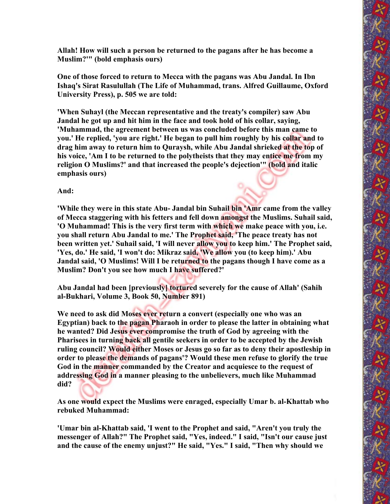**Allah! How will such a person be returned to the pagans after he has become a Muslim?'" (bold emphasis ours)** 

**One of those forced to return to Mecca with the pagans was Abu Jandal. In Ibn Ishaq's Sirat Rasulullah (The Life of Muhammad, trans. Alfred Guillaume, Oxford University Press), p. 505 we are told:** 

**'When Suhayl (the Meccan representative and the treaty's compiler) saw Abu Jandal he got up and hit him in the face and took hold of his collar, saying, 'Muhammad, the agreement between us was concluded before this man came to you.' He replied, 'you are right.' He began to pull him roughly by his collar and to drag him away to return him to Quraysh, while Abu Jandal shrieked at the top of his voice, 'Am I to be returned to the polytheists that they may entice me from my religion O Muslims?' and that increased the people's dejection'" (bold and italic emphasis ours)** 

### **And:**

**'While they were in this state Abu- Jandal bin Suhail bin 'Amr came from the valley of Mecca staggering with his fetters and fell down amongst the Muslims. Suhail said, 'O Muhammad! This is the very first term with which we make peace with you, i.e. you shall return Abu Jandal to me.' The Prophet said, 'The peace treaty has not been written yet.' Suhail said, 'I will never allow you to keep him.' The Prophet said, 'Yes, do.' He said, 'I won't do: Mikraz said, 'We allow you (to keep him).' Abu Jandal said, 'O Muslims! Will I be returned to the pagans though I have come as a Muslim? Don't you see how much I have suffered?'** 

**Abu Jandal had been [previously] tortured severely for the cause of Allah' (Sahih al-Bukhari, Volume 3, Book 50, Number 891)** 

**We need to ask did Moses ever return a convert (especially one who was an Egyptian) back to the pagan Pharaoh in order to please the latter in obtaining what he wanted? Did Jesus ever compromise the truth of God by agreeing with the Pharisees in turning back all gentile seekers in order to be accepted by the Jewish ruling council? Would either Moses or Jesus go so far as to deny their apostleship in order to please the demands of pagans'? Would these men refuse to glorify the true God in the manner commanded by the Creator and acquiesce to the request of addressing God in a manner pleasing to the unbelievers, much like Muhammad did?** 

**As one would expect the Muslims were enraged, especially Umar b. al-Khattab who rebuked Muhammad:** 

**'Umar bin al-Khattab said, 'I went to the Prophet and said, "Aren't you truly the messenger of Allah?" The Prophet said, "Yes, indeed." I said, "Isn't our cause just and the cause of the enemy unjust?" He said, "Yes." I said, "Then why should we**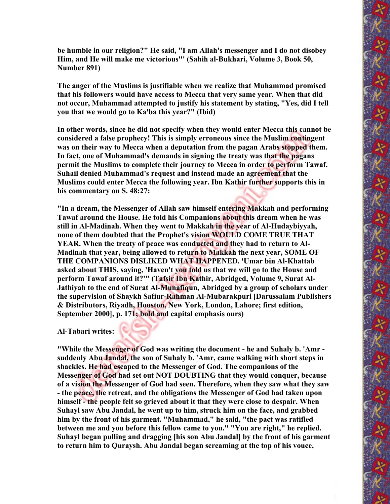**be humble in our religion?" He said, "I am Allah's messenger and I do not disobey Him, and He will make me victorious"' (Sahih al-Bukhari, Volume 3, Book 50, Number 891)** 

**The anger of the Muslims is justifiable when we realize that Muhammad promised that his followers would have access to Mecca that very same year. When that did not occur, Muhammad attempted to justify his statement by stating, "Yes, did I tell you that we would go to Ka'ba this year?" (Ibid)** 

**In other words, since he did not specify when they would enter Mecca this cannot be considered a false prophecy! This is simply erroneous since the Muslim contingent was on their way to Mecca when a deputation from the pagan Arabs stopped them. In fact, one of Muhammad's demands in signing the treaty was that the pagans permit the Muslims to complete their journey to Mecca in order to perform Tawaf. Suhail denied Muhammad's request and instead made an agreement that the Muslims could enter Mecca the following year. Ibn Kathir further supports this in his commentary on S. 48:27:** 

**"In a dream, the Messenger of Allah saw himself entering Makkah and performing Tawaf around the House. He told his Companions about this dream when he was still in Al-Madinah. When they went to Makkah in the year of Al-Hudaybiyyah, none of them doubted that the Prophet's vision WOULD COME TRUE THAT YEAR. When the treaty of peace was conducted and they had to return to Al-Madinah that year, being allowed to return to Makkah the next year, SOME OF THE COMPANIONS DISLIKED WHAT HAPPENED. 'Umar bin Al-Khattab asked about THIS, saying, 'Haven't you told us that we will go to the House and perform Tawaf around it?'" (Tafsir Ibn Kathir, Abridged, Volume 9, Surat Al-Jathiyah to the end of Surat Al-Munafiqun, Abridged by a group of scholars under the supervision of Shaykh Safiur-Rahman Al-Mubarakpuri [Darussalam Publishers & Distributors, Riyadh, Houston, New York, London, Lahore; first edition, September 2000], p. 171; bold and capital emphasis ours)** 

#### **Al-Tabari writes:**

**"While the Messenger of God was writing the document - he and Suhaly b. 'Amr suddenly Abu Jandal, the son of Suhaly b. 'Amr, came walking with short steps in shackles. He had escaped to the Messenger of God. The companions of the Messenger of God had set out NOT DOUBTING that they would conquer, because of a vision the Messenger of God had seen. Therefore, when they saw what they saw - the peace, the retreat, and the obligations the Messenger of God had taken upon himself - the people felt so grieved about it that they were close to despair. When Suhayl saw Abu Jandal, he went up to him, struck him on the face, and grabbed him by the front of his garment. "Muhammad," he said, "the pact was ratified between me and you before this fellow came to you." "You are right," he replied. Suhayl began pulling and dragging [his son Abu Jandal] by the front of his garment to return him to Quraysh. Abu Jandal began screaming at the top of his vouce,**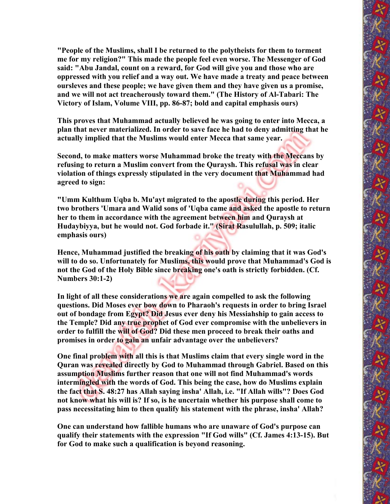**"People of the Muslims, shall I be returned to the polytheists for them to torment me for my religion?" This made the people feel even worse. The Messenger of God said: "Abu Jandal, count on a reward, for God will give you and those who are oppressed with you relief and a way out. We have made a treaty and peace between oursleves and these people; we have given them and they have given us a promise, and we will not act treacherously toward them." (The History of Al-Tabari: The Victory of Islam, Volume VIII, pp. 86-87; bold and capital emphasis ours)** 

**This proves that Muhammad actually believed he was going to enter into Mecca, a plan that never materialized. In order to save face he had to deny admitting that he actually implied that the Muslims would enter Mecca that same year.** 

**Second, to make matters worse Muhammad broke the treaty with the Meccans by refusing to return a Muslim convert from the Quraysh. This refusal was in clear violation of things expressly stipulated in the very document that Muhammad had agreed to sign:** 

**"Umm Kulthum Uqba b. Mu'ayt migrated to the apostle during this period. Her two brothers 'Umara and Walid sons of 'Uqba came and asked the apostle to return her to them in accordance with the agreement between him and Quraysh at Hudaybiyya, but he would not. God forbade it." (Sirat Rasulullah, p. 509; italic emphasis ours)** 

**Hence, Muhammad justified the breaking of his oath by claiming that it was God's will to do so. Unfortunately for Muslims, this would prove that Muhammad's God is not the God of the Holy Bible since breaking one's oath is strictly forbidden. (Cf. Numbers 30:1-2)** 

**In light of all these considerations we are again compelled to ask the following questions. Did Moses ever bow down to Pharaoh's requests in order to bring Israel out of bondage from Egypt? Did Jesus ever deny his Messiahship to gain access to the Temple? Did any true prophet of God ever compromise with the unbelievers in order to fulfill the will of God? Did these men proceed to break their oaths and promises in order to gain an unfair advantage over the unbelievers?** 

**One final problem with all this is that Muslims claim that every single word in the Quran was revealed directly by God to Muhammad through Gabriel. Based on this assumption Muslims further reason that one will not find Muhammad's words intermingled with the words of God. This being the case, how do Muslims explain the fact that S. 48:27 has Allah saying insha' Allah, i.e. "If Allah wills"? Does God not know what his will is? If so, is he uncertain whether his purpose shall come to pass necessitating him to then qualify his statement with the phrase, insha' Allah?** 

**One can understand how fallible humans who are unaware of God's purpose can qualify their statements with the expression "If God wills" (Cf. James 4:13-15). But for God to make such a qualification is beyond reasoning.**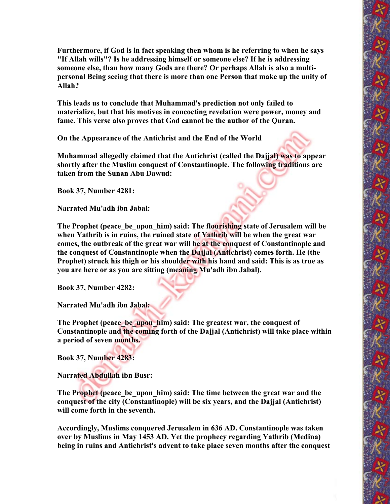**Furthermore, if God is in fact speaking then whom is he referring to when he says "If Allah wills"? Is he addressing himself or someone else? If he is addressing someone else, than how many Gods are there? Or perhaps Allah is also a multipersonal Being seeing that there is more than one Person that make up the unity of Allah?** 

**This leads us to conclude that Muhammad's prediction not only failed to materialize, but that his motives in concocting revelation were power, money and fame. This verse also proves that God cannot be the author of the Quran.** 

**On the Appearance of the Antichrist and the End of the World** 

**Muhammad allegedly claimed that the Antichrist (called the Dajjal) was to appear shortly after the Muslim conquest of Constantinople. The following traditions are taken from the Sunan Abu Dawud:** 

**Book 37, Number 4281:** 

**Narrated Mu'adh ibn Jabal:** 

**The Prophet (peace\_be\_upon\_him) said: The flourishing state of Jerusalem will be when Yathrib is in ruins, the ruined state of Yathrib will be when the great war comes, the outbreak of the great war will be at the conquest of Constantinople and the conquest of Constantinople when the Dajjal (Antichrist) comes forth. He (the Prophet) struck his thigh or his shoulder with his hand and said: This is as true as you are here or as you are sitting (meaning Mu'adh ibn Jabal).** 

**Book 37, Number 4282:** 

**Narrated Mu'adh ibn Jabal:** 

**The Prophet (peace\_be\_upon\_him) said: The greatest war, the conquest of Constantinople and the coming forth of the Dajjal (Antichrist) will take place within a period of seven months.** 

**Book 37, Number 4283:** 

**Narrated Abdullah ibn Busr:** 

The Prophet (peace be upon him) said: The time between the great war and the **conquest of the city (Constantinople) will be six years, and the Dajjal (Antichrist) will come forth in the seventh.** 

**Accordingly, Muslims conquered Jerusalem in 636 AD. Constantinople was taken over by Muslims in May 1453 AD. Yet the prophecy regarding Yathrib (Medina) being in ruins and Antichrist's advent to take place seven months after the conquest**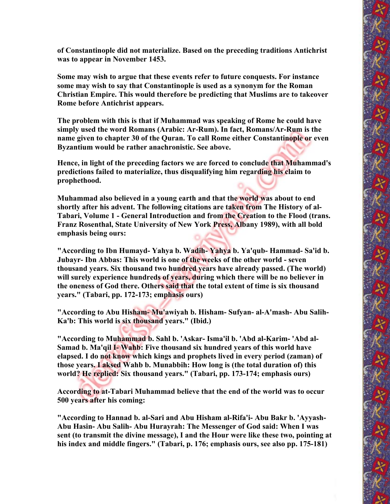**of Constantinople did not materialize. Based on the preceding traditions Antichrist was to appear in November 1453.** 

**Some may wish to argue that these events refer to future conquests. For instance some may wish to say that Constantinople is used as a synonym for the Roman Christian Empire. This would therefore be predicting that Muslims are to takeover Rome before Antichrist appears.** 

**The problem with this is that if Muhammad was speaking of Rome he could have simply used the word Romans (Arabic: Ar-Rum). In fact, Romans/Ar-Rum is the name given to chapter 30 of the Quran. To call Rome either Constantinople or even Byzantium would be rather anachronistic. See above.** 

**Hence, in light of the preceding factors we are forced to conclude that Muhammad's predictions failed to materialize, thus disqualifying him regarding his claim to prophethood.** 

**Muhammad also believed in a young earth and that the world was about to end shortly after his advent. The following citations are taken from The History of al-Tabari, Volume 1 - General Introduction and from the Creation to the Flood (trans. Franz Rosenthal, State University of New York Press, Albany 1989), with all bold emphasis being ours:** 

**"According to Ibn Humayd- Yahya b. Wadih- Yahya b. Ya'qub- Hammad- Sa'id b. Jubayr- Ibn Abbas: This world is one of the weeks of the other world - seven thousand years. Six thousand two hundred years have already passed. (The world) will surely experience hundreds of years, during which there will be no believer in the oneness of God there. Others said that the total extent of time is six thousand years." (Tabari, pp. 172-173; emphasis ours)** 

**"According to Abu Hisham- Mu'awiyah b. Hisham- Sufyan- al-A'mash- Abu Salih-Ka'b: This world is six thousand years." (Ibid.)** 

**"According to Muhammad b. Sahl b. 'Askar- Isma'il b. 'Abd al-Karim- 'Abd al-Samad b. Ma'qil I- Wahb: Five thousand six hundred years of this world have elapsed. I do not know which kings and prophets lived in every period (zaman) of those years. I aksed Wahb b. Munabbih: How long is (the total duration of) this world? He replied: Six thousand years." (Tabari, pp. 173-174; emphasis ours)** 

**According to at-Tabari Muhammad believe that the end of the world was to occur 500 years after his coming:** 

**"According to Hannad b. al-Sari and Abu Hisham al-Rifa'i- Abu Bakr b. 'Ayyash-Abu Hasin- Abu Salih- Abu Hurayrah: The Messenger of God said: When I was sent (to transmit the divine message), I and the Hour were like these two, pointing at his index and middle fingers." (Tabari, p. 176; emphasis ours, see also pp. 175-181)**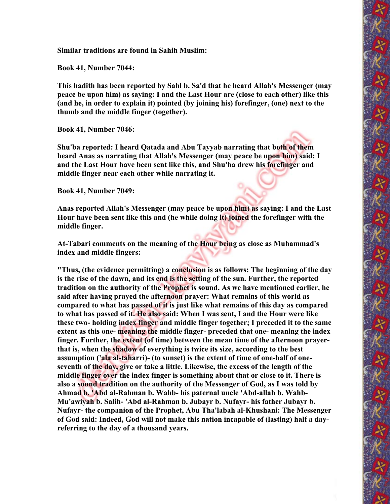**Similar traditions are found in Sahih Muslim:** 

**Book 41, Number 7044:** 

**This hadith has been reported by Sahl b. Sa'd that he heard Allah's Messenger (may peace be upon him) as saying: I and the Last Hour are (close to each other) like this (and he, in order to explain it) pointed (by joining his) forefinger, (one) next to the thumb and the middle finger (together).** 

**Book 41, Number 7046:** 

**Shu'ba reported: I heard Qatada and Abu Tayyab narrating that both of them heard Anas as narrating that Allah's Messenger (may peace be upon him) said: I and the Last Hour have been sent like this, and Shu'ba drew his forefinger and middle finger near each other while narrating it.** 

**Book 41, Number 7049:** 

**Anas reported Allah's Messenger (may peace be upon him) as saying: I and the Last Hour have been sent like this and (he while doing it) joined the forefinger with the middle finger.** 

**At-Tabari comments on the meaning of the Hour being as close as Muhammad's index and middle fingers:** 

**"Thus, (the evidence permitting) a conclusion is as follows: The beginning of the day is the rise of the dawn, and its end is the setting of the sun. Further, the reported tradition on the authority of the Prophet is sound. As we have mentioned earlier, he said after having prayed the afternoon prayer: What remains of this world as compared to what has passed of it is just like what remains of this day as compared to what has passed of it. He also said: When I was sent, I and the Hour were like these two- holding index finger and middle finger together; I preceded it to the same extent as this one- meaning the middle finger- preceded that one- meaning the index finger. Further, the extent (of time) between the mean time of the afternoon prayerthat is, when the shadow of everything is twice its size, according to the best assumption ('ala al-taharri)- (to sunset) is the extent of time of one-half of oneseventh of the day, give or take a little. Likewise, the excess of the length of the middle finger over the index finger is something about that or close to it. There is also a sound tradition on the authority of the Messenger of God, as I was told by Ahmad b. 'Abd al-Rahman b. Wahb- his paternal uncle 'Abd-allah b. Wahb-Mu'awiyah b. Salih- 'Abd al-Rahman b. Jubayr b. Nufayr- his father Jubayr b. Nufayr- the companion of the Prophet, Abu Tha'labah al-Khushani: The Messenger of God said: Indeed, God will not make this nation incapable of (lasting) half a dayreferring to the day of a thousand years.**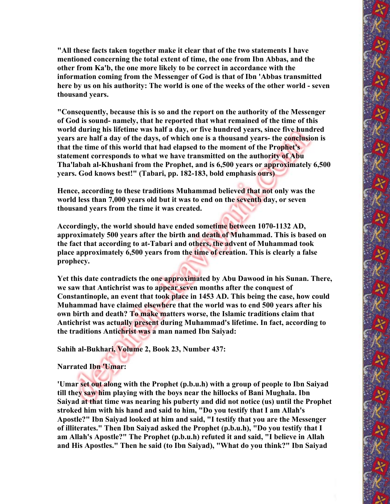**"All these facts taken together make it clear that of the two statements I have mentioned concerning the total extent of time, the one from Ibn Abbas, and the other from Ka'b, the one more likely to be correct in accordance with the information coming from the Messenger of God is that of Ibn 'Abbas transmitted here by us on his authority: The world is one of the weeks of the other world - seven thousand years.** 

**"Consequently, because this is so and the report on the authority of the Messenger of God is sound- namely, that he reported that what remained of the time of this world during his lifetime was half a day, or five hundred years, since five hundred years are half a day of the days, of which one is a thousand years- the conclusion is that the time of this world that had elapsed to the moment of the Prophet's statement corresponds to what we have transmitted on the authority of Abu Tha'labah al-Khushani from the Prophet, and is 6,500 years or approximately 6,500 years. God knows best!" (Tabari, pp. 182-183, bold emphasis ours)** 

**Hence, according to these traditions Muhammad believed that not only was the world less than 7,000 years old but it was to end on the seventh day, or seven thousand years from the time it was created.** 

**Accordingly, the world should have ended sometime between 1070-1132 AD, approximately 500 years after the birth and death of Muhammad. This is based on the fact that according to at-Tabari and others, the advent of Muhammad took place approximately 6,500 years from the time of creation. This is clearly a false prophecy.** 

**Yet this date contradicts the one approximated by Abu Dawood in his Sunan. There, we saw that Antichrist was to appear seven months after the conquest of Constantinople, an event that took place in 1453 AD. This being the case, how could Muhammad have claimed elsewhere that the world was to end 500 years after his own birth and death? To make matters worse, the Islamic traditions claim that Antichrist was actually present during Muhammad's lifetime. In fact, according to the traditions Antichrist was a man named Ibn Saiyad:** 

**Sahih al-Bukhari, Volume 2, Book 23, Number 437:** 

#### **Narrated Ibn 'Umar:**

**'Umar set out along with the Prophet (p.b.u.h) with a group of people to Ibn Saiyad till they saw him playing with the boys near the hillocks of Bani Mughala. Ibn Saiyad at that time was nearing his puberty and did not notice (us) until the Prophet stroked him with his hand and said to him, "Do you testify that I am Allah's Apostle?" Ibn Saiyad looked at him and said, "I testify that you are the Messenger of illiterates." Then Ibn Saiyad asked the Prophet (p.b.u.h), "Do you testify that I am Allah's Apostle?" The Prophet (p.b.u.h) refuted it and said, "I believe in Allah and His Apostles." Then he said (to Ibn Saiyad), "What do you think?" Ibn Saiyad**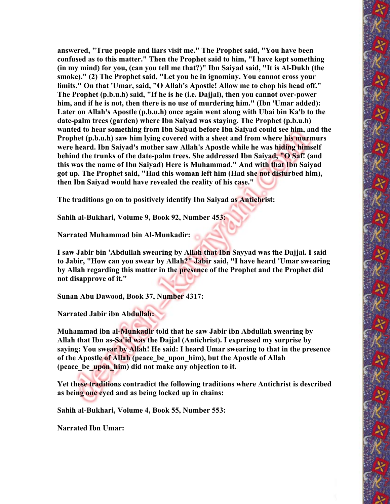**answered, "True people and liars visit me." The Prophet said, "You have been confused as to this matter." Then the Prophet said to him, "I have kept something (in my mind) for you, (can you tell me that?)" Ibn Saiyad said, "It is Al-Dukh (the smoke)." (2) The Prophet said, "Let you be in ignominy. You cannot cross your limits." On that 'Umar, said, "O Allah's Apostle! Allow me to chop his head off." The Prophet (p.b.u.h) said, "If he is he (i.e. Dajjal), then you cannot over-power him, and if he is not, then there is no use of murdering him." (Ibn 'Umar added): Later on Allah's Apostle (p.b.u.h) once again went along with Ubai bin Ka'b to the date-palm trees (garden) where Ibn Saiyad was staying. The Prophet (p.b.u.h) wanted to hear something from Ibn Saiyad before Ibn Saiyad could see him, and the Prophet (p.b.u.h) saw him lying covered with a sheet and from where his murmurs were heard. Ibn Saiyad's mother saw Allah's Apostle while he was hiding himself behind the trunks of the date-palm trees. She addressed Ibn Saiyad, "O Saf! (and this was the name of Ibn Saiyad) Here is Muhammad." And with that Ibn Saiyad got up. The Prophet said, "Had this woman left him (Had she not disturbed him), then Ibn Saiyad would have revealed the reality of his case."** 

**The traditions go on to positively identify Ibn Saiyad as Antichrist:** 

**Sahih al-Bukhari, Volume 9, Book 92, Number 453:** 

**Narrated Muhammad bin Al-Munkadir:** 

**I saw Jabir bin 'Abdullah swearing by Allah that Ibn Sayyad was the Dajjal. I said to Jabir, "How can you swear by Allah?" Jabir said, "I have heard 'Umar swearing by Allah regarding this matter in the presence of the Prophet and the Prophet did not disapprove of it."** 

**Sunan Abu Dawood, Book 37, Number 4317:** 

**Narrated Jabir ibn Abdullah:** 

**Muhammad ibn al-Munkadir told that he saw Jabir ibn Abdullah swearing by Allah that Ibn as-Sa'id was the Dajjal (Antichrist). I expressed my surprise by saying: You swear by Allah! He said: I heard Umar swearing to that in the presence of the Apostle of Allah (peace\_be\_upon\_him), but the Apostle of Allah (peace\_be\_upon\_him) did not make any objection to it.** 

**Yet these traditions contradict the following traditions where Antichrist is described as being one eyed and as being locked up in chains:** 

**Sahih al-Bukhari, Volume 4, Book 55, Number 553:** 

**Narrated Ibn Umar:**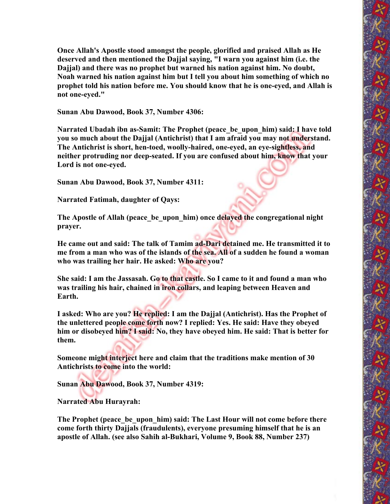**Once Allah's Apostle stood amongst the people, glorified and praised Allah as He deserved and then mentioned the Dajjal saying, "I warn you against him (i.e. the Dajjal) and there was no prophet but warned his nation against him. No doubt, Noah warned his nation against him but I tell you about him something of which no prophet told his nation before me. You should know that he is one-eyed, and Allah is not one-eyed."** 

**Sunan Abu Dawood, Book 37, Number 4306:** 

**Narrated Ubadah ibn as-Samit: The Prophet (peace\_be\_upon\_him) said: I have told you so much about the Dajjal (Antichrist) that I am afraid you may not understand. The Antichrist is short, hen-toed, woolly-haired, one-eyed, an eye-sightless, and neither protruding nor deep-seated. If you are confused about him, know that your Lord is not one-eyed.** 

**Sunan Abu Dawood, Book 37, Number 4311:** 

**Narrated Fatimah, daughter of Qays:** 

**The Apostle of Allah (peace\_be\_upon\_him) once delayed the congregational night prayer.** 

**He came out and said: The talk of Tamim ad-Dari detained me. He transmitted it to me from a man who was of the islands of the sea. All of a sudden he found a woman who was trailing her hair. He asked: Who are you?** 

**She said: I am the Jassasah. Go to that castle. So I came to it and found a man who was trailing his hair, chained in iron collars, and leaping between Heaven and Earth.** 

**I asked: Who are you? He replied: I am the Dajjal (Antichrist). Has the Prophet of the unlettered people come forth now? I replied: Yes. He said: Have they obeyed him or disobeyed him? I said: No, they have obeyed him. He said: That is better for them.** 

**Someone might interject here and claim that the traditions make mention of 30 Antichrists to come into the world:** 

**Sunan Abu Dawood, Book 37, Number 4319:** 

**Narrated Abu Hurayrah:** 

The Prophet (peace be upon him) said: The Last Hour will not come before there **come forth thirty Dajjals (fraudulents), everyone presuming himself that he is an apostle of Allah. (see also Sahih al-Bukhari, Volume 9, Book 88, Number 237)**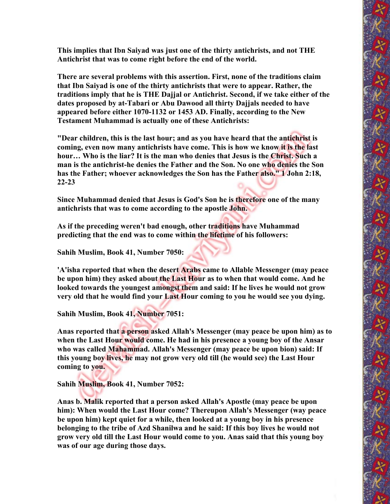**This implies that Ibn Saiyad was just one of the thirty antichrists, and not THE Antichrist that was to come right before the end of the world.** 

**There are several problems with this assertion. First, none of the traditions claim that Ibn Saiyad is one of the thirty antichrists that were to appear. Rather, the traditions imply that he is THE Dajjal or Antichrist. Second, if we take either of the dates proposed by at-Tabari or Abu Dawood all thirty Dajjals needed to have appeared before either 1070-1132 or 1453 AD. Finally, according to the New Testament Muhammad is actually one of these Antichrists:** 

**"Dear children, this is the last hour; and as you have heard that the antichrist is coming, even now many antichrists have come. This is how we know it is the last hour… Who is the liar? It is the man who denies that Jesus is the Christ. Such a man is the antichrist-he denies the Father and the Son. No one who denies the Son has the Father; whoever acknowledges the Son has the Father also." 1 John 2:18, 22-23** 

**Since Muhammad denied that Jesus is God's Son he is therefore one of the many antichrists that was to come according to the apostle John.** 

**As if the preceding weren't bad enough, other traditions have Muhammad predicting that the end was to come within the lifetime of his followers:** 

**Sahih Muslim, Book 41, Number 7050:** 

**'A'isha reported that when the desert Arabs came to Allable Messenger (may peace be upon him) they asked about the Last Hour as to when that would come. And he looked towards the youngest amongst them and said: If he lives he would not grow very old that he would find your Last Hour coming to you he would see you dying.** 

**Sahih Muslim, Book 41, Number 7051:** 

**Anas reported that a person asked Allah's Messenger (may peace be upon him) as to when the Last Hour would come. He had in his presence a young boy of the Ansar who was called Mahammad. Allah's Messenger (may peace be upon bion) said: If this young boy lives, he may not grow very old till (he would see) the Last Hour coming to you.** 

**Sahih Muslim, Book 41, Number 7052:** 

**Anas b. Malik reported that a person asked Allah's Apostle (may peace be upon him): When would the Last Hour come? Thereupon Allah's Messenger (way peace be upon him) kept quiet for a while, then looked at a young boy in his presence belonging to the tribe of Azd Shanilwa and he said: If this boy lives he would not grow very old till the Last Hour would come to you. Anas said that this young boy was of our age during those days.**